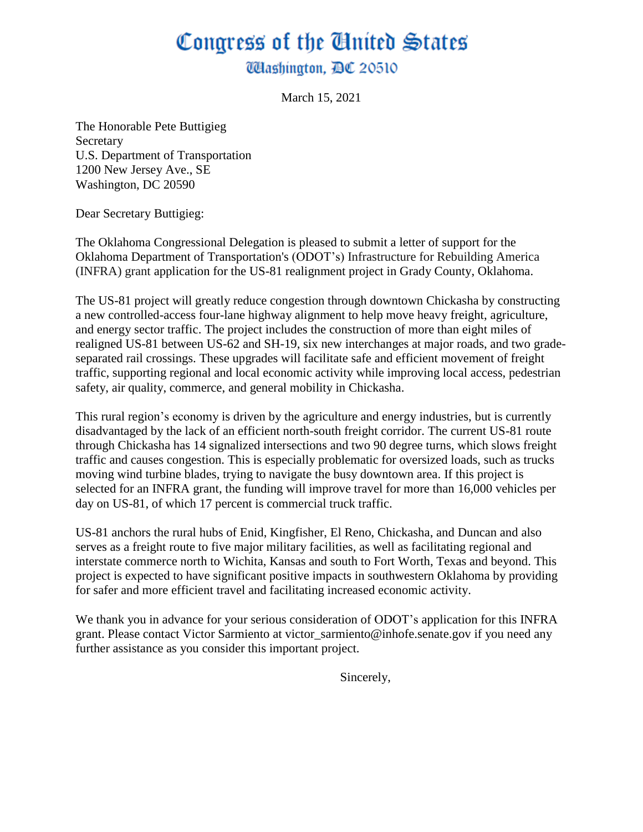## Congress of the Cinited States **Washington, DC 20510**

March 15, 2021

The Honorable Pete Buttigieg Secretary U.S. Department of Transportation 1200 New Jersey Ave., SE Washington, DC 20590

Dear Secretary Buttigieg:

The Oklahoma Congressional Delegation is pleased to submit a letter of support for the Oklahoma Department of Transportation's (ODOT's) Infrastructure for Rebuilding America (INFRA) grant application for the US-81 realignment project in Grady County, Oklahoma.

The US-81 project will greatly reduce congestion through downtown Chickasha by constructing a new controlled-access four-lane highway alignment to help move heavy freight, agriculture, and energy sector traffic. The project includes the construction of more than eight miles of realigned US-81 between US-62 and SH-19, six new interchanges at major roads, and two gradeseparated rail crossings. These upgrades will facilitate safe and efficient movement of freight traffic, supporting regional and local economic activity while improving local access, pedestrian safety, air quality, commerce, and general mobility in Chickasha.

This rural region's economy is driven by the agriculture and energy industries, but is currently disadvantaged by the lack of an efficient north-south freight corridor. The current US-81 route through Chickasha has 14 signalized intersections and two 90 degree turns, which slows freight traffic and causes congestion. This is especially problematic for oversized loads, such as trucks moving wind turbine blades, trying to navigate the busy downtown area. If this project is selected for an INFRA grant, the funding will improve travel for more than 16,000 vehicles per day on US-81, of which 17 percent is commercial truck traffic.

US-81 anchors the rural hubs of Enid, Kingfisher, El Reno, Chickasha, and Duncan and also serves as a freight route to five major military facilities, as well as facilitating regional and interstate commerce north to Wichita, Kansas and south to Fort Worth, Texas and beyond. This project is expected to have significant positive impacts in southwestern Oklahoma by providing for safer and more efficient travel and facilitating increased economic activity.

We thank you in advance for your serious consideration of ODOT's application for this INFRA grant. Please contact Victor Sarmiento at victor sarmiento@inhofe.senate.gov if you need any further assistance as you consider this important project.

Sincerely,